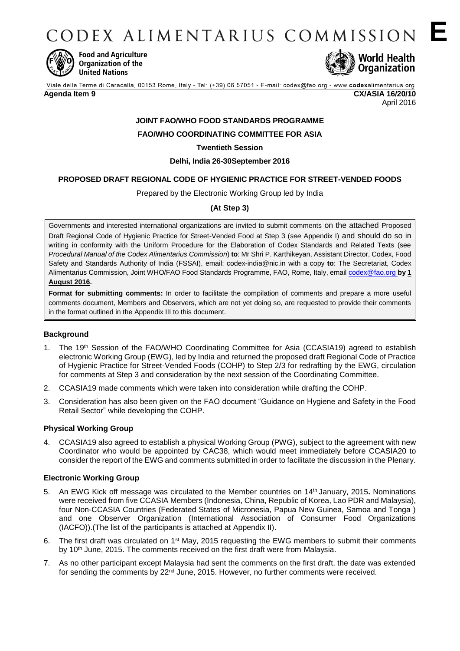CODEX ALIMENTARIUS COMMISSION E



**Food and Agriculture** Organization of the **United Nations** 



# **JOINT FAO/WHO FOOD STANDARDS PROGRAMME**

# **FAO/WHO COORDINATING COMMITTEE FOR ASIA**

# **Twentieth Session**

# **Delhi, India 26-30September 2016**

# **PROPOSED DRAFT REGIONAL CODE OF HYGIENIC PRACTICE FOR STREET-VENDED FOODS**

Prepared by the Electronic Working Group led by India

# **(At Step 3)**

Governments and interested international organizations are invited to submit comments on the attached Proposed Draft Regional Code of Hygienic Practice for Street-Vended Food at Step 3 (*see* Appendix I) and should do so in writing in conformity with the Uniform Procedure for the Elaboration of Codex Standards and Related Texts (see *Procedural Manual of the Codex Alimentarius Commission*) **to**: Mr Shri P. Karthikeyan, Assistant Director, Codex, Food Safety and Standards Authority of India (FSSAI), email: codex-india@nic.in with a copy **to**: The Secretariat, Codex Alimentarius Commission, Joint WHO/FAO Food Standards Programme, FAO, Rome, Italy, email **codex@fao.org by 1 August 2016.**

**Format for submitting comments:** In order to facilitate the compilation of comments and prepare a more useful comments document, Members and Observers, which are not yet doing so, are requested to provide their comments in the format outlined in the Appendix III to this document.

## **Background**

- 1. The 19<sup>th</sup> Session of the FAO/WHO Coordinating Committee for Asia (CCASIA19) agreed to establish electronic Working Group (EWG), led by India and returned the proposed draft Regional Code of Practice of Hygienic Practice for Street-Vended Foods (COHP) to Step 2/3 for redrafting by the EWG, circulation for comments at Step 3 and consideration by the next session of the Coordinating Committee.
- 2. CCASIA19 made comments which were taken into consideration while drafting the COHP.
- 3. Consideration has also been given on the FAO document "Guidance on Hygiene and Safety in the Food Retail Sector" while developing the COHP.

## **Physical Working Group**

4. CCASIA19 also agreed to establish a physical Working Group (PWG), subject to the agreement with new Coordinator who would be appointed by CAC38, which would meet immediately before CCASIA20 to consider the report of the EWG and comments submitted in order to facilitate the discussion in the Plenary.

## **Electronic Working Group**

- 5. An EWG Kick off message was circulated to the Member countries on 14th January, 2015**.** Nominations were received from five CCASIA Members (Indonesia, China, Republic of Korea, Lao PDR and Malaysia), four Non-CCASIA Countries (Federated States of Micronesia, Papua New Guinea, Samoa and Tonga ) and one Observer Organization (International Association of Consumer Food Organizations (IACFO)).(The list of the participants is attached at Appendix II).
- 6. The first draft was circulated on 1st May, 2015 requesting the EWG members to submit their comments by 10<sup>th</sup> June, 2015. The comments received on the first draft were from Malaysia.
- 7. As no other participant except Malaysia had sent the comments on the first draft, the date was extended for sending the comments by 22nd June, 2015. However, no further comments were received.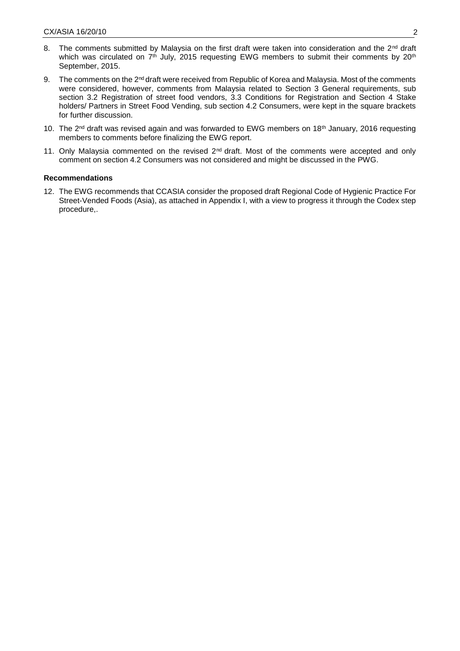- 8. The comments submitted by Malaysia on the first draft were taken into consideration and the 2<sup>nd</sup> draft which was circulated on 7<sup>th</sup> July, 2015 requesting EWG members to submit their comments by 20<sup>th</sup> September, 2015.
- 9. The comments on the 2<sup>nd</sup> draft were received from Republic of Korea and Malaysia. Most of the comments were considered, however, comments from Malaysia related to Section 3 General requirements, sub section 3.2 Registration of street food vendors, 3.3 Conditions for Registration and Section 4 Stake holders/ Partners in Street Food Vending, sub section 4.2 Consumers, were kept in the square brackets for further discussion.
- 10. The 2<sup>nd</sup> draft was revised again and was forwarded to EWG members on 18<sup>th</sup> January, 2016 requesting members to comments before finalizing the EWG report.
- 11. Only Malaysia commented on the revised 2<sup>nd</sup> draft. Most of the comments were accepted and only comment on section 4.2 Consumers was not considered and might be discussed in the PWG.

#### **Recommendations**

12. The EWG recommends that CCASIA consider the proposed draft Regional Code of Hygienic Practice For Street-Vended Foods (Asia), as attached in Appendix I, with a view to progress it through the Codex step procedure,.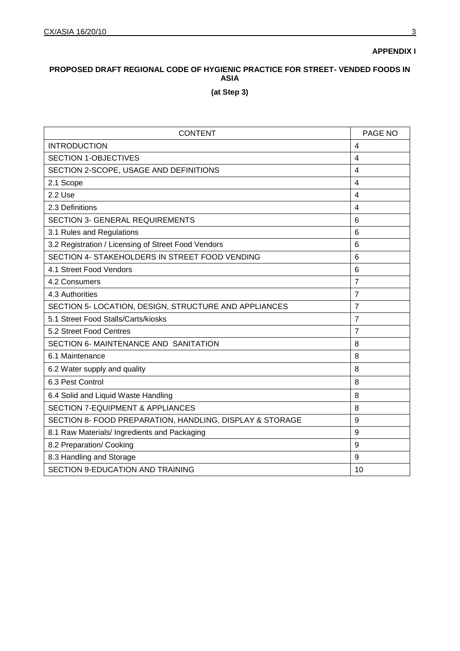**APPENDIX I**

# **PROPOSED DRAFT REGIONAL CODE OF HYGIENIC PRACTICE FOR STREET- VENDED FOODS IN ASIA**

**(at Step 3)**

| <b>CONTENT</b>                                           | PAGE NO                 |
|----------------------------------------------------------|-------------------------|
| <b>INTRODUCTION</b>                                      | 4                       |
| <b>SECTION 1-OBJECTIVES</b>                              | 4                       |
| SECTION 2-SCOPE, USAGE AND DEFINITIONS                   | 4                       |
| 2.1 Scope                                                | 4                       |
| 2.2 Use                                                  | $\overline{\mathbf{4}}$ |
| 2.3 Definitions                                          | $\overline{\mathbf{4}}$ |
| <b>SECTION 3- GENERAL REQUIREMENTS</b>                   | 6                       |
| 3.1 Rules and Regulations                                | 6                       |
| 3.2 Registration / Licensing of Street Food Vendors      | 6                       |
| SECTION 4- STAKEHOLDERS IN STREET FOOD VENDING           | 6                       |
| 4.1 Street Food Vendors                                  | 6                       |
| 4.2 Consumers                                            | $\overline{7}$          |
| 4.3 Authorities                                          | $\overline{7}$          |
| SECTION 5- LOCATION, DESIGN, STRUCTURE AND APPLIANCES    | $\overline{7}$          |
| 5.1 Street Food Stalls/Carts/kiosks                      | $\overline{7}$          |
| 5.2 Street Food Centres                                  | $\overline{7}$          |
| SECTION 6- MAINTENANCE AND SANITATION                    | 8                       |
| 6.1 Maintenance                                          | 8                       |
| 6.2 Water supply and quality                             | 8                       |
| 6.3 Pest Control                                         | 8                       |
| 6.4 Solid and Liquid Waste Handling                      | 8                       |
| <b>SECTION 7-EQUIPMENT &amp; APPLIANCES</b>              | 8                       |
| SECTION 8- FOOD PREPARATION, HANDLING, DISPLAY & STORAGE | 9                       |
| 8.1 Raw Materials/ Ingredients and Packaging             | 9                       |
| 8.2 Preparation/ Cooking                                 | 9                       |
| 8.3 Handling and Storage                                 | 9                       |
| <b>SECTION 9-EDUCATION AND TRAINING</b>                  | 10                      |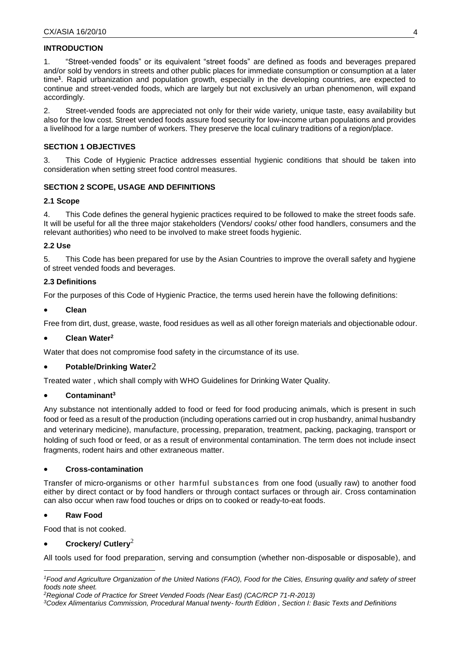# **INTRODUCTION**

1. "Street-vended foods" or its equivalent "street foods" are defined as foods and beverages prepared and/or sold by vendors in streets and other public places for immediate consumption or consumption at a later time**<sup>1</sup>** . Rapid urbanization and population growth, especially in the developing countries, are expected to continue and street-vended foods, which are largely but not exclusively an urban phenomenon, will expand accordingly.

2. Street-vended foods are appreciated not only for their wide variety, unique taste, easy availability but also for the low cost. Street vended foods assure food security for low-income urban populations and provides a livelihood for a large number of workers. They preserve the local culinary traditions of a region/place.

## **SECTION 1 OBJECTIVES**

3. This Code of Hygienic Practice addresses essential hygienic conditions that should be taken into consideration when setting street food control measures.

## **SECTION 2 SCOPE, USAGE AND DEFINITIONS**

## **2.1 Scope**

4. This Code defines the general hygienic practices required to be followed to make the street foods safe. It will be useful for all the three major stakeholders (Vendors/ cooks/ other food handlers, consumers and the relevant authorities) who need to be involved to make street foods hygienic.

## **2.2 Use**

5. This Code has been prepared for use by the Asian Countries to improve the overall safety and hygiene of street vended foods and beverages.

## **2.3 Definitions**

For the purposes of this Code of Hygienic Practice, the terms used herein have the following definitions:

## **Clean**

Free from dirt, dust, grease, waste, food residues as well as all other foreign materials and objectionable odour.

## <span id="page-3-0"></span>**Clean Water<sup>2</sup>**

Water that does not compromise food safety in the circumstance of its use.

## **Potable/Drinking Water**[2](#page-3-0)

Treated water , which shall comply with WHO Guidelines for Drinking Water Quality.

## **Contaminant<sup>3</sup>**

Any substance not intentionally added to food or feed for food producing animals, which is present in such food or feed as a result of the production (including operations carried out in crop husbandry, animal husbandry and veterinary medicine), manufacture, processing, preparation, treatment, packing, packaging, transport or holding of such food or feed, or as a result of environmental contamination. The term does not include insect fragments, rodent hairs and other extraneous matter.

## **Cross-contamination**

Transfer of micro-organisms or other harmful substances from one food (usually raw) to another food either by direct contact or by food handlers or through contact surfaces or through air. Cross contamination can also occur when raw food touches or drips on to cooked or ready-to-eat foods.

## **Raw Food**

Food that is not cooked.

# **Crockery/ Cutlery**[2](#page-3-0)

All tools used for food preparation, serving and consumption (whether non-disposable or disposable), and

<sup>-</sup>*<sup>1</sup>Food and Agriculture Organization of the United Nations (FAO), Food for the Cities, Ensuring quality and safety of street foods note sheet.*

*<sup>2</sup>Regional Code of Practice for Street Vended Foods (Near East) (CAC/RCP 71-R-2013)*

*<sup>3</sup>Codex Alimentarius Commission, Procedural Manual twenty- fourth Edition , Section I: Basic Texts and Definitions*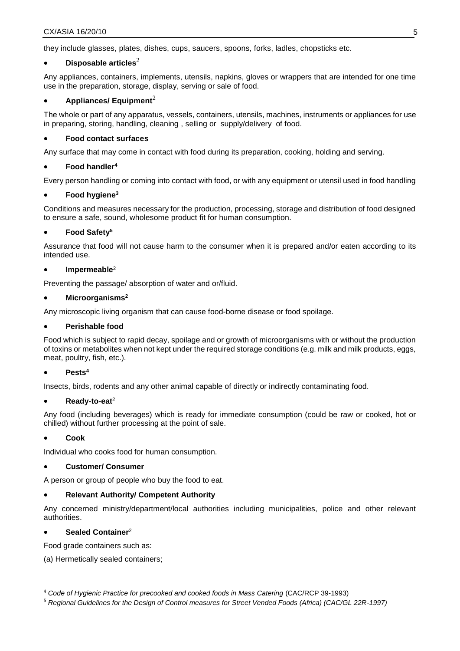they include glasses, plates, dishes, cups, saucers, spoons, forks, ladles, chopsticks etc.

## **Disposable** articles<sup>[2](#page-3-0)</sup>

Any appliances, containers, implements, utensils, napkins, gloves or wrappers that are intended for one time use in the preparation, storage, display, serving or sale of food.

# **Appliances/ Equipment**[2](#page-3-0)

The whole or part of any apparatus, vessels, containers, utensils, machines, instruments or appliances for use in preparing, storing, handling, cleaning , selling or supply/delivery of food.

# **Food contact surfaces**

Any surface that may come in contact with food during its preparation, cooking, holding and serving.

# <span id="page-4-0"></span>**Food handler 4**

Every person handling or coming into contact with food, or with any equipment or utensil used in food handling

## **Food hygiene<sup>3</sup>**

Conditions and measures necessary for the production, processing, storage and distribution of food designed to ensure a safe, sound, wholesome product fit for human consumption.

## **Food Safety<sup>5</sup>**

Assurance that food will not cause harm to the consumer when it is prepared and/or eaten according to its intended use.

## **Impermeabl[e](#page-3-0)** 2

Preventing the passage/ absorption of water and or/fluid.

## **Microorganisms[2](#page-3-0)**

Any microscopic living organism that can cause food-borne disease or food spoilage.

## **Perishable food**

Food which is subject to rapid decay, spoilage and or growth of microorganisms with or without the production of toxins or metabolites when not kept under the required storage conditions (e.g. milk and milk products, eggs, meat, poultry, fish, etc.).

# **Pest[s](#page-4-0) 4**

Insects, birds, rodents and any other animal capable of directly or indirectly contaminating food.

## **Ready-to-ea[t](#page-3-0)** 2

Any food (including beverages) which is ready for immediate consumption (could be raw or cooked, hot or chilled) without further processing at the point of sale.

## **Cook**

<u>.</u>

Individual who cooks food for human consumption.

## **Customer/ Consumer**

A person or group of people who buy the food to eat.

## **Relevant Authority/ Competent Authority**

Any concerned ministry/department/local authorities including municipalities, police and other relevant authorities.

## **Sealed Container**[2](#page-3-0)

Food grade containers such as:

(a) Hermetically sealed containers;

<sup>4</sup> *Code of Hygienic Practice for precooked and cooked foods in Mass Catering* (CAC/RCP 39-1993)

<sup>5</sup> *Regional Guidelines for the Design of Control measures for Street Vended Foods (Africa) (CAC/GL 22R-1997)*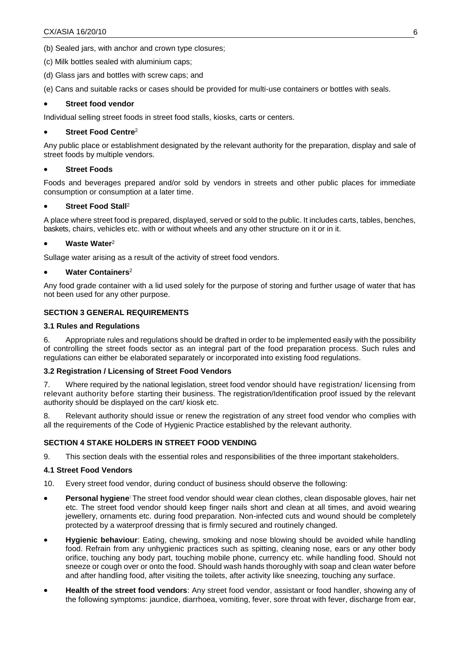(b) Sealed jars, with anchor and crown type closures;

- (c) Milk bottles sealed with aluminium caps;
- (d) Glass jars and bottles with screw caps; and

(e) Cans and suitable racks or cases should be provided for multi-use containers or bottles with seals.

#### **Street food vendor**

Individual selling street foods in street food stalls, kiosks, carts or centers.

#### **Street Food Centre**[2](#page-3-0)

Any public place or establishment designated by the relevant authority for the preparation, display and sale of street foods by multiple vendors.

#### **Street Foods**

Foods and beverages prepared and/or sold by vendors in streets and other public places for immediate consumption or consumption at a later time.

## **Street Food Stall**[2](#page-3-0)

A place where street food is prepared, displayed, served or sold to the public. It includes carts, tables, benches, baskets, chairs, vehicles etc. with or without wheels and any other structure on it or in it.

## **Waste Water**[2](#page-3-0)

Sullage water arising as a result of the activity of street food vendors.

#### **Water Containers**[2](#page-3-0)

Any food grade container with a lid used solely for the purpose of storing and further usage of water that has not been used for any other purpose.

## **SECTION 3 GENERAL REQUIREMENTS**

## **3.1 Rules and Regulations**

6. Appropriate rules and regulations should be drafted in order to be implemented easily with the possibility of controlling the street foods sector as an integral part of the food preparation process. Such rules and regulations can either be elaborated separately or incorporated into existing food regulations.

## **3.2 Registration / Licensing of Street Food Vendors**

7. Where required by the national legislation, street food vendor should have registration/ licensing from relevant authority before starting their business. The registration/Identification proof issued by the relevant authority should be displayed on the cart/ kiosk etc.

8. Relevant authority should issue or renew the registration of any street food vendor who complies with all the requirements of the Code of Hygienic Practice established by the relevant authority.

## **SECTION 4 STAKE HOLDERS IN STREET FOOD VENDING**

9. This section deals with the essential roles and responsibilities of the three important stakeholders.

## **4.1 Street Food Vendors**

- 10. Every street food vendor, during conduct of business should observe the following:
- **Personal hygiene:** The street food vendor should wear clean clothes, clean disposable gloves, hair net etc. The street food vendor should keep finger nails short and clean at all times, and avoid wearing jewellery, ornaments etc. during food preparation. Non-infected cuts and wound should be completely protected by a waterproof dressing that is firmly secured and routinely changed.
- **Hygienic behaviour**: Eating, chewing, smoking and nose blowing should be avoided while handling food. Refrain from any unhygienic practices such as spitting, cleaning nose, ears or any other body orifice, touching any body part, touching mobile phone, currency etc. while handling food. Should not sneeze or cough over or onto the food. Should wash hands thoroughly with soap and clean water before and after handling food, after visiting the toilets, after activity like sneezing, touching any surface.
- **Health of the street food vendors**: Any street food vendor, assistant or food handler, showing any of the following symptoms: jaundice, diarrhoea, vomiting, fever, sore throat with fever, discharge from ear,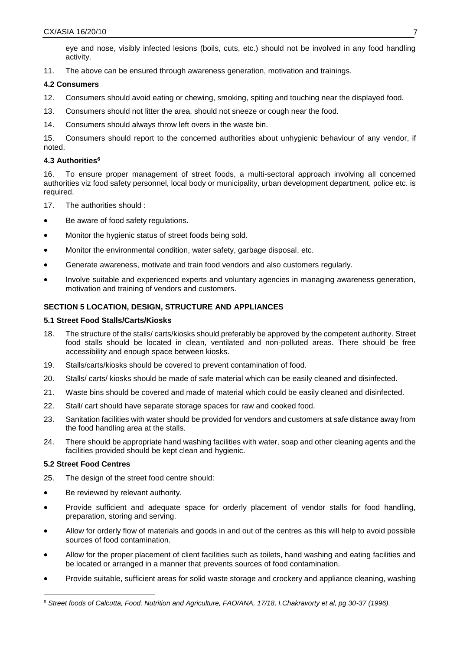eye and nose, visibly infected lesions (boils, cuts, etc.) should not be involved in any food handling activity.

11. The above can be ensured through awareness generation, motivation and trainings.

## **4.2 Consumers**

- 12. Consumers should avoid eating or chewing, smoking, spiting and touching near the displayed food.
- 13. Consumers should not litter the area, should not sneeze or cough near the food.
- 14. Consumers should always throw left overs in the waste bin.

15. Consumers should report to the concerned authorities about unhygienic behaviour of any vendor, if noted.

## **4.3 Authorities<sup>6</sup>**

16. To ensure proper management of street foods, a multi-sectoral approach involving all concerned authorities viz food safety personnel, local body or municipality, urban development department, police etc. is required.

- 17. The authorities should :
- Be aware of food safety regulations.
- Monitor the hygienic status of street foods being sold.
- Monitor the environmental condition, water safety, garbage disposal, etc.
- Generate awareness, motivate and train food vendors and also customers regularly.
- Involve suitable and experienced experts and voluntary agencies in managing awareness generation, motivation and training of vendors and customers.

## **SECTION 5 LOCATION, DESIGN, STRUCTURE AND APPLIANCES**

## **5.1 Street Food Stalls/Carts/Kiosks**

- 18. The structure of the stalls/ carts/kiosks should preferably be approved by the competent authority. Street food stalls should be located in clean, ventilated and non-polluted areas. There should be free accessibility and enough space between kiosks.
- 19. Stalls/carts/kiosks should be covered to prevent contamination of food.
- 20. Stalls/ carts/ kiosks should be made of safe material which can be easily cleaned and disinfected.
- 21. Waste bins should be covered and made of material which could be easily cleaned and disinfected.
- 22. Stall/ cart should have separate storage spaces for raw and cooked food.
- 23. Sanitation facilities with water should be provided for vendors and customers at safe distance away from the food handling area at the stalls.
- 24. There should be appropriate hand washing facilities with water, soap and other cleaning agents and the facilities provided should be kept clean and hygienic.

## **5.2 Street Food Centres**

1

- 25. The design of the street food centre should:
- Be reviewed by relevant authority.
- Provide sufficient and adequate space for orderly placement of vendor stalls for food handling, preparation, storing and serving.
- Allow for orderly flow of materials and goods in and out of the centres as this will help to avoid possible sources of food contamination.
- Allow for the proper placement of client facilities such as toilets, hand washing and eating facilities and be located or arranged in a manner that prevents sources of food contamination.
- Provide suitable, sufficient areas for solid waste storage and crockery and appliance cleaning, washing

<sup>6</sup> *Street foods of Calcutta, Food, Nutrition and Agriculture, FAO/ANA, 17/18, I.Chakravorty et al, pg 30-37 (1996).*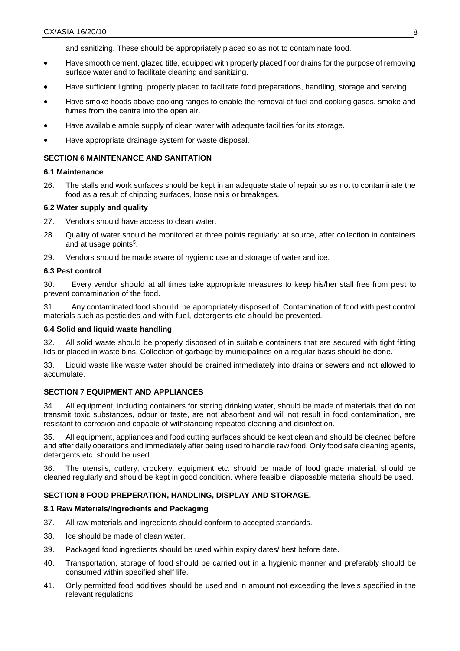and sanitizing. These should be appropriately placed so as not to contaminate food.

- Have smooth cement, glazed title, equipped with properly placed floor drains for the purpose of removing surface water and to facilitate cleaning and sanitizing.
- Have sufficient lighting, properly placed to facilitate food preparations, handling, storage and serving.
- Have smoke hoods above cooking ranges to enable the removal of fuel and cooking gases, smoke and fumes from the centre into the open air.
- Have available ample supply of clean water with adequate facilities for its storage.
- Have appropriate drainage system for waste disposal.

## **SECTION 6 MAINTENANCE AND SANITATION**

#### **6.1 Maintenance**

26. The stalls and work surfaces should be kept in an adequate state of repair so as not to contaminate the food as a result of chipping surfaces, loose nails or breakages.

#### **6.2 Water supply and quality**

- 27. Vendors should have access to clean water.
- 28. Quality of water should be monitored at three points regularly: at source, after collection in containers and at usage points<sup>5</sup>.
- 29. Vendors should be made aware of hygienic use and storage of water and ice.

#### **6.3 Pest control**

30. Every vendor should at all times take appropriate measures to keep his/her stall free from pest to prevent contamination of the food.

31. Any contaminated food should be appropriately disposed of. Contamination of food with pest control materials such as pesticides and with fuel, detergents etc should be prevented.

#### **6.4 Solid and liquid waste handling**.

32. All solid waste should be properly disposed of in suitable containers that are secured with tight fitting lids or placed in waste bins. Collection of garbage by municipalities on a regular basis should be done.

33. Liquid waste like waste water should be drained immediately into drains or sewers and not allowed to accumulate.

## **SECTION 7 EQUIPMENT AND APPLIANCES**

34. All equipment, including containers for storing drinking water, should be made of materials that do not transmit toxic substances, odour or taste, are not absorbent and will not result in food contamination, are resistant to corrosion and capable of withstanding repeated cleaning and disinfection.

35. All equipment, appliances and food cutting surfaces should be kept clean and should be cleaned before and after daily operations and immediately after being used to handle raw food. Only food safe cleaning agents, detergents etc. should be used.

36. The utensils, cutlery, crockery, equipment etc. should be made of food grade material, should be cleaned regularly and should be kept in good condition. Where feasible, disposable material should be used.

## **SECTION 8 FOOD PREPERATION, HANDLING, DISPLAY AND STORAGE.**

#### **8.1 Raw Materials/Ingredients and Packaging**

- 37. All raw materials and ingredients should conform to accepted standards.
- 38. Ice should be made of clean water.
- 39. Packaged food ingredients should be used within expiry dates/ best before date.
- 40. Transportation, storage of food should be carried out in a hygienic manner and preferably should be consumed within specified shelf life.
- 41. Only permitted food additives should be used and in amount not exceeding the levels specified in the relevant regulations.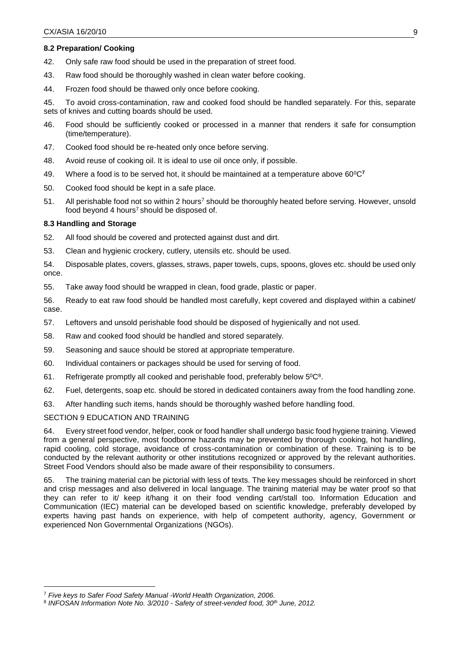## **8.2 Preparation/ Cooking**

42. Only safe raw food should be used in the preparation of street food.

- 43. Raw food should be thoroughly washed in clean water before cooking.
- 44. Frozen food should be thawed only once before cooking.

45. To avoid cross-contamination, raw and cooked food should be handled separately. For this, separate sets of knives and cutting boards should be used.

- 46. Food should be sufficiently cooked or processed in a manner that renders it safe for consumption (time/temperature).
- 47. Cooked food should be re-heated only once before serving.
- 48. Avoid reuse of cooking oil. It is ideal to use oil once only, if possible.
- 49. Where a food is to be served hot, it should be maintained at a temperature above 60<sup>0</sup>C**<sup>7</sup>**
- 50. Cooked food should be kept in a safe place.
- <span id="page-8-0"></span>51. All perishable food not so within 2 hours<sup>7</sup> should be thoroughly heated before serving. However, unsold food beyond 4 hours<sup>[7](#page-8-0)</sup> should be disposed of.

## **8.3 Handling and Storage**

- 52. All food should be covered and protected against dust and dirt.
- 53. Clean and hygienic crockery, cutlery, utensils etc. should be used.

54. Disposable plates, covers, glasses, straws, paper towels, cups, spoons, gloves etc. should be used only once.

55. Take away food should be wrapped in clean, food grade, plastic or paper.

56. Ready to eat raw food should be handled most carefully, kept covered and displayed within a cabinet/ case.

- 57. Leftovers and unsold perishable food should be disposed of hygienically and not used.
- 58. Raw and cooked food should be handled and stored separately.
- 59. Seasoning and sauce should be stored at appropriate temperature.
- 60. Individual containers or packages should be used for serving of food.
- 61. Refrigerate promptly all cooked and perishable food, preferably below  $5^0C^8$ .
- 62. Fuel, detergents, soap etc. should be stored in dedicated containers away from the food handling zone.
- 63. After handling such items, hands should be thoroughly washed before handling food.

## SECTION 9 EDUCATION AND TRAINING

<u>.</u>

64. Every street food vendor, helper, cook or food handler shall undergo basic food hygiene training. Viewed from a general perspective, most foodborne hazards may be prevented by thorough cooking, hot handling, rapid cooling, cold storage, avoidance of cross-contamination or combination of these. Training is to be conducted by the relevant authority or other institutions recognized or approved by the relevant authorities. Street Food Vendors should also be made aware of their responsibility to consumers.

65. The training material can be pictorial with less of texts. The key messages should be reinforced in short and crisp messages and also delivered in local language. The training material may be water proof so that they can refer to it/ keep it/hang it on their food vending cart/stall too. Information Education and Communication (IEC) material can be developed based on scientific knowledge, preferably developed by experts having past hands on experience, with help of competent authority, agency, Government or experienced Non Governmental Organizations (NGOs).

<sup>7</sup> *Five keys to Safer Food Safety Manual -World Health Organization, 2006.*

<sup>8</sup> *INFOSAN Information Note No. 3/2010 - Safety of street-vended food, 30th June, 2012.*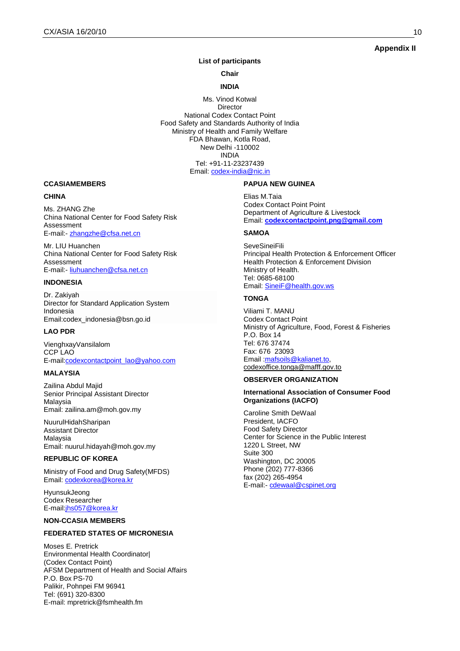## **Appendix II**

#### **List of participants**

**Chair**

#### **INDIA**

Ms. Vinod Kotwal Director National Codex Contact Point Food Safety and Standards Authority of India Ministry of Health and Family Welfare FDA Bhawan, Kotla Road, New Delhi -110002 INDIA Tel: +91-11-23237439 Email: [codex-india@nic.in](mailto:codex-india@nic.in)

#### **CCASIAMEMBERS**

#### **CHINA**

Ms. ZHANG Zhe China National Center for Food Safety Risk Assessment E-mail:- [zhangzhe@cfsa.net.cn](mailto:zhangzhe@cfsa.net.cn)

Mr. LIU Huanchen China National Center for Food Safety Risk Assessment E-mail:- [liuhuanchen@cfsa.net.cn](mailto:liuhuanchen@cfsa.net.cn)

#### **INDONESIA**

Dr. Zakiyah Director for Standard Application System Indonesia Email:codex\_indonesia@bsn.go.id

#### **LAO PDR**

VienghxayVansilalom CCP LAO E-mai[l:codexcontactpoint\\_lao@yahoo.com](mailto:codexcontactpoint_lao@yahoo.com)

#### **MALAYSIA**

Zailina Abdul Majid Senior Principal Assistant Director Malaysia Email: zailina.am@moh.gov.my

NuurulHidahSharipan Assistant Director Malaysia Email: nuurul.hidayah@moh.gov.my

#### **REPUBLIC OF KOREA**

Ministry of Food and Drug Safety(MFDS) Email: [codexkorea@korea.kr](javascript:main.compose()

HyunsukJeong Codex Researcher E-mail:jhs057@korea.kr

#### **NON-CCASIA MEMBERS**

#### **FEDERATED STATES OF MICRONESIA**

Moses E. Pretrick Environmental Health Coordinator| (Codex Contact Point) AFSM Department of Health and Social Affairs P.O. Box PS-70 Palikir, Pohnpei FM 96941 Tel: (691) 320-8300 E-mail: [mpretrick@fsmhealth.fm](javascript:main.compose()

#### **PAPUA NEW GUINEA**

Elias M.Taia Codex Contact Point Point Department of Agriculture & Livestock Email: **[codexcontactpoint.png@gmail.com](mailto:codexcontactpoint.png@gmail.com)**

#### **SAMOA**

**SeveSineiFili** Principal Health Protection & Enforcement Officer Health Protection & Enforcement Division Ministry of Health. Tel: 0685-68100 Email: [SineiF@health.gov.ws](mailto:SineiF@health.gov.ws)

#### **TONGA**

Viliami T. MANU Codex Contact Point Ministry of Agriculture, Food, Forest & Fisheries P.O. Box 14 Tel: 676 37474 Fax: 676 23093 Email : mafsoils@kalianet.to, [codexoffice.tonga@mafff.gov.to](javascript:main.compose()

#### **OBSERVER ORGANIZATION**

#### **International Association of Consumer Food Organizations (IACFO)**

Caroline Smith DeWaal President, IACFO Food Safety Director Center for Science in the Public Interest 1220 L Street, NW Suite 300 Washington, DC 20005 Phone (202) 777-8366 fax (202) 265-4954 E-mail:- [cdewaal@cspinet.org](javascript:main.compose()